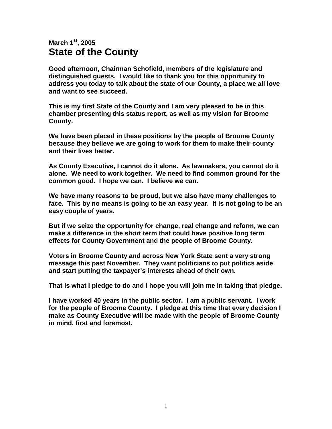## **March 1st, 2005 State of the County**

**Good afternoon, Chairman Schofield, members of the legislature and distinguished guests. I would like to thank you for this opportunity to address you today to talk about the state of our County, a place we all love and want to see succeed.** 

**This is my first State of the County and I am very pleased to be in this chamber presenting this status report, as well as my vision for Broome County.** 

**We have been placed in these positions by the people of Broome County because they believe we are going to work for them to make their county and their lives better.** 

**As County Executive, I cannot do it alone. As lawmakers, you cannot do it alone. We need to work together. We need to find common ground for the common good. I hope we can. I believe we can.** 

**We have many reasons to be proud, but we also have many challenges to face. This by no means is going to be an easy year. It is not going to be an easy couple of years.** 

**But if we seize the opportunity for change, real change and reform, we can make a difference in the short term that could have positive long term effects for County Government and the people of Broome County.** 

**Voters in Broome County and across New York State sent a very strong message this past November. They want politicians to put politics aside and start putting the taxpayer's interests ahead of their own.** 

**That is what I pledge to do and I hope you will join me in taking that pledge.** 

**I have worked 40 years in the public sector. I am a public servant. I work for the people of Broome County. I pledge at this time that every decision I make as County Executive will be made with the people of Broome County in mind, first and foremost.**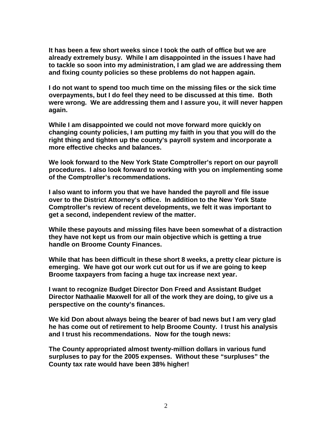**It has been a few short weeks since I took the oath of office but we are already extremely busy. While I am disappointed in the issues I have had to tackle so soon into my administration, I am glad we are addressing them and fixing county policies so these problems do not happen again.** 

**I do not want to spend too much time on the missing files or the sick time overpayments, but I do feel they need to be discussed at this time. Both were wrong. We are addressing them and I assure you, it will never happen again.** 

**While I am disappointed we could not move forward more quickly on changing county policies, I am putting my faith in you that you will do the right thing and tighten up the county's payroll system and incorporate a more effective checks and balances.** 

**We look forward to the New York State Comptroller's report on our payroll procedures. I also look forward to working with you on implementing some of the Comptroller's recommendations.** 

**I also want to inform you that we have handed the payroll and file issue over to the District Attorney's office. In addition to the New York State Comptroller's review of recent developments, we felt it was important to get a second, independent review of the matter.** 

**While these payouts and missing files have been somewhat of a distraction they have not kept us from our main objective which is getting a true handle on Broome County Finances.** 

**While that has been difficult in these short 8 weeks, a pretty clear picture is emerging. We have got our work cut out for us if we are going to keep Broome taxpayers from facing a huge tax increase next year.** 

**I want to recognize Budget Director Don Freed and Assistant Budget Director Nathaalie Maxwell for all of the work they are doing, to give us a perspective on the county's finances.** 

**We kid Don about always being the bearer of bad news but I am very glad he has come out of retirement to help Broome County. I trust his analysis and I trust his recommendations. Now for the tough news:** 

**The County appropriated almost twenty-million dollars in various fund surpluses to pay for the 2005 expenses. Without these "surpluses" the County tax rate would have been 38% higher!**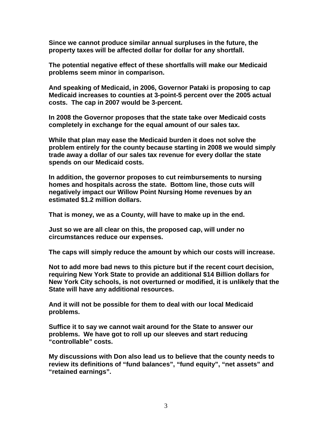**Since we cannot produce similar annual surpluses in the future, the property taxes will be affected dollar for dollar for any shortfall.** 

**The potential negative effect of these shortfalls will make our Medicaid problems seem minor in comparison.** 

**And speaking of Medicaid, in 2006, Governor Pataki is proposing to cap Medicaid increases to counties at 3-point-5 percent over the 2005 actual costs. The cap in 2007 would be 3-percent.** 

**In 2008 the Governor proposes that the state take over Medicaid costs completely in exchange for the equal amount of our sales tax.** 

**While that plan may ease the Medicaid burden it does not solve the problem entirely for the county because starting in 2008 we would simply trade away a dollar of our sales tax revenue for every dollar the state spends on our Medicaid costs.** 

**In addition, the governor proposes to cut reimbursements to nursing homes and hospitals across the state. Bottom line, those cuts will negatively impact our Willow Point Nursing Home revenues by an estimated \$1.2 million dollars.** 

**That is money, we as a County, will have to make up in the end.** 

**Just so we are all clear on this, the proposed cap, will under no circumstances reduce our expenses.** 

**The caps will simply reduce the amount by which our costs will increase.** 

**Not to add more bad news to this picture but if the recent court decision, requiring New York State to provide an additional \$14 Billion dollars for New York City schools, is not overturned or modified, it is unlikely that the State will have any additional resources.** 

**And it will not be possible for them to deal with our local Medicaid problems.** 

**Suffice it to say we cannot wait around for the State to answer our problems. We have got to roll up our sleeves and start reducing "controllable" costs.** 

**My discussions with Don also lead us to believe that the county needs to review its definitions of "fund balances", "fund equity", "net assets" and "retained earnings".**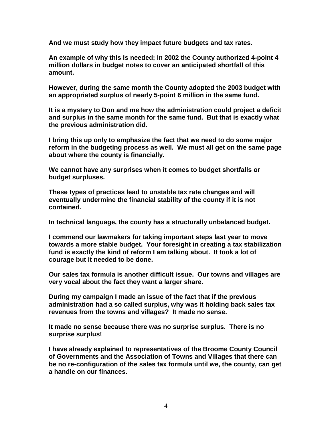**And we must study how they impact future budgets and tax rates.** 

**An example of why this is needed; in 2002 the County authorized 4-point 4 million dollars in budget notes to cover an anticipated shortfall of this amount.** 

**However, during the same month the County adopted the 2003 budget with an appropriated surplus of nearly 5-point 6 million in the same fund.** 

**It is a mystery to Don and me how the administration could project a deficit and surplus in the same month for the same fund. But that is exactly what the previous administration did.** 

**I bring this up only to emphasize the fact that we need to do some major reform in the budgeting process as well. We must all get on the same page about where the county is financially.** 

**We cannot have any surprises when it comes to budget shortfalls or budget surpluses.** 

**These types of practices lead to unstable tax rate changes and will eventually undermine the financial stability of the county if it is not contained.** 

**In technical language, the county has a structurally unbalanced budget.** 

**I commend our lawmakers for taking important steps last year to move towards a more stable budget. Your foresight in creating a tax stabilization fund is exactly the kind of reform I am talking about. It took a lot of courage but it needed to be done.** 

**Our sales tax formula is another difficult issue. Our towns and villages are very vocal about the fact they want a larger share.** 

**During my campaign I made an issue of the fact that if the previous administration had a so called surplus, why was it holding back sales tax revenues from the towns and villages? It made no sense.** 

**It made no sense because there was no surprise surplus. There is no surprise surplus!** 

**I have already explained to representatives of the Broome County Council of Governments and the Association of Towns and Villages that there can be no re-configuration of the sales tax formula until we, the county, can get a handle on our finances.**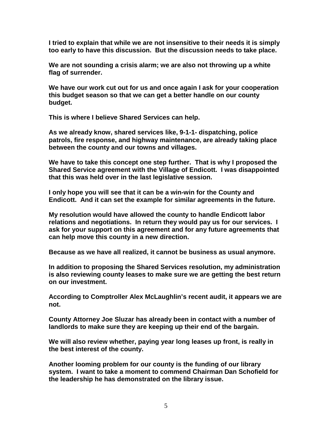**I tried to explain that while we are not insensitive to their needs it is simply too early to have this discussion. But the discussion needs to take place.** 

**We are not sounding a crisis alarm; we are also not throwing up a white flag of surrender.** 

**We have our work cut out for us and once again I ask for your cooperation this budget season so that we can get a better handle on our county budget.** 

**This is where I believe Shared Services can help.** 

**As we already know, shared services like, 9-1-1- dispatching, police patrols, fire response, and highway maintenance, are already taking place between the county and our towns and villages.** 

**We have to take this concept one step further. That is why I proposed the Shared Service agreement with the Village of Endicott. I was disappointed that this was held over in the last legislative session.** 

**I only hope you will see that it can be a win-win for the County and Endicott. And it can set the example for similar agreements in the future.** 

**My resolution would have allowed the county to handle Endicott labor relations and negotiations. In return they would pay us for our services. I ask for your support on this agreement and for any future agreements that can help move this county in a new direction.** 

**Because as we have all realized, it cannot be business as usual anymore.** 

**In addition to proposing the Shared Services resolution, my administration is also reviewing county leases to make sure we are getting the best return on our investment.** 

**According to Comptroller Alex McLaughlin's recent audit, it appears we are not.** 

**County Attorney Joe Sluzar has already been in contact with a number of landlords to make sure they are keeping up their end of the bargain.** 

**We will also review whether, paying year long leases up front, is really in the best interest of the county.** 

**Another looming problem for our county is the funding of our library system. I want to take a moment to commend Chairman Dan Schofield for the leadership he has demonstrated on the library issue.**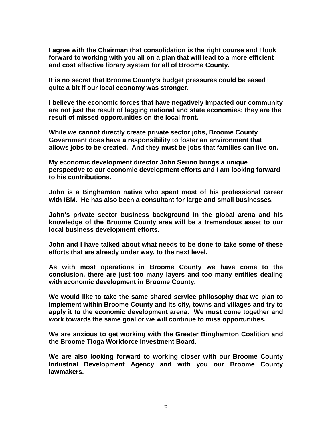**I agree with the Chairman that consolidation is the right course and I look forward to working with you all on a plan that will lead to a more efficient and cost effective library system for all of Broome County.** 

**It is no secret that Broome County's budget pressures could be eased quite a bit if our local economy was stronger.** 

**I believe the economic forces that have negatively impacted our community are not just the result of lagging national and state economies; they are the result of missed opportunities on the local front.** 

**While we cannot directly create private sector jobs, Broome County Government does have a responsibility to foster an environment that allows jobs to be created. And they must be jobs that families can live on.** 

**My economic development director John Serino brings a unique perspective to our economic development efforts and I am looking forward to his contributions.** 

**John is a Binghamton native who spent most of his professional career with IBM. He has also been a consultant for large and small businesses.** 

**John's private sector business background in the global arena and his knowledge of the Broome County area will be a tremendous asset to our local business development efforts.** 

**John and I have talked about what needs to be done to take some of these efforts that are already under way, to the next level.** 

**As with most operations in Broome County we have come to the conclusion, there are just too many layers and too many entities dealing with economic development in Broome County.** 

**We would like to take the same shared service philosophy that we plan to implement within Broome County and its city, towns and villages and try to apply it to the economic development arena. We must come together and work towards the same goal or we will continue to miss opportunities.** 

**We are anxious to get working with the Greater Binghamton Coalition and the Broome Tioga Workforce Investment Board.** 

**We are also looking forward to working closer with our Broome County Industrial Development Agency and with you our Broome County lawmakers.**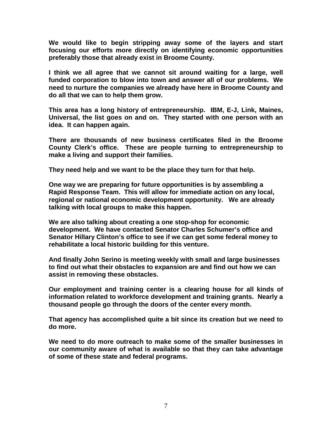**We would like to begin stripping away some of the layers and start focusing our efforts more directly on identifying economic opportunities preferably those that already exist in Broome County.** 

**I think we all agree that we cannot sit around waiting for a large, well funded corporation to blow into town and answer all of our problems. We need to nurture the companies we already have here in Broome County and do all that we can to help them grow.** 

**This area has a long history of entrepreneurship. IBM, E-J, Link, Maines, Universal, the list goes on and on. They started with one person with an idea. It can happen again.** 

**There are thousands of new business certificates filed in the Broome County Clerk's office. These are people turning to entrepreneurship to make a living and support their families.** 

**They need help and we want to be the place they turn for that help.** 

**One way we are preparing for future opportunities is by assembling a Rapid Response Team. This will allow for immediate action on any local, regional or national economic development opportunity. We are already talking with local groups to make this happen.** 

**We are also talking about creating a one stop-shop for economic development. We have contacted Senator Charles Schumer's office and Senator Hillary Clinton's office to see if we can get some federal money to rehabilitate a local historic building for this venture.** 

**And finally John Serino is meeting weekly with small and large businesses to find out what their obstacles to expansion are and find out how we can assist in removing these obstacles.** 

**Our employment and training center is a clearing house for all kinds of information related to workforce development and training grants. Nearly a thousand people go through the doors of the center every month.** 

**That agency has accomplished quite a bit since its creation but we need to do more.** 

**We need to do more outreach to make some of the smaller businesses in our community aware of what is available so that they can take advantage of some of these state and federal programs.**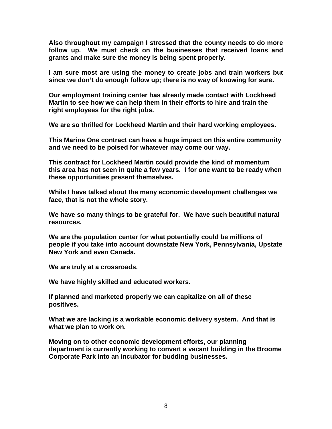**Also throughout my campaign I stressed that the county needs to do more follow up. We must check on the businesses that received loans and grants and make sure the money is being spent properly.** 

**I am sure most are using the money to create jobs and train workers but since we don't do enough follow up; there is no way of knowing for sure.** 

**Our employment training center has already made contact with Lockheed Martin to see how we can help them in their efforts to hire and train the right employees for the right jobs.** 

**We are so thrilled for Lockheed Martin and their hard working employees.** 

**This Marine One contract can have a huge impact on this entire community and we need to be poised for whatever may come our way.** 

**This contract for Lockheed Martin could provide the kind of momentum this area has not seen in quite a few years. I for one want to be ready when these opportunities present themselves.** 

**While I have talked about the many economic development challenges we face, that is not the whole story.** 

**We have so many things to be grateful for. We have such beautiful natural resources.** 

**We are the population center for what potentially could be millions of people if you take into account downstate New York, Pennsylvania, Upstate New York and even Canada.** 

**We are truly at a crossroads.** 

**We have highly skilled and educated workers.** 

**If planned and marketed properly we can capitalize on all of these positives.** 

**What we are lacking is a workable economic delivery system. And that is what we plan to work on.** 

**Moving on to other economic development efforts, our planning department is currently working to convert a vacant building in the Broome Corporate Park into an incubator for budding businesses.**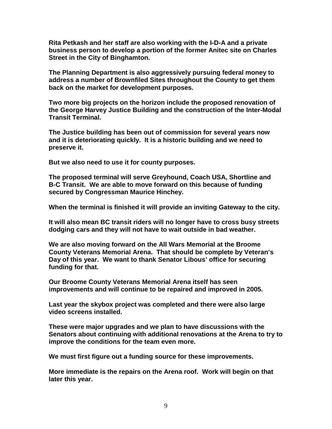**Rita Petkash and her staff are also working with the I-D-A and a private business person to develop a portion of the former Anitec site on Charles Street in the City of Binghamton.** 

**The Planning Department is also aggressively pursuing federal money to address a number of Brownfiled Sites throughout the County to get them back on the market for development purposes.** 

**Two more big projects on the horizon include the proposed renovation of the George Harvey Justice Building and the construction of the Inter-Modal Transit Terminal.** 

**The Justice building has been out of commission for several years now and it is deteriorating quickly. It is a historic building and we need to preserve it.** 

**But we also need to use it for county purposes.** 

**The proposed terminal will serve Greyhound, Coach USA, Shortline and B-C Transit. We are able to move forward on this because of funding secured by Congressman Maurice Hinchey.** 

**When the terminal is finished it will provide an inviting Gateway to the city.** 

**It will also mean BC transit riders will no longer have to cross busy streets dodging cars and they will not have to wait outside in bad weather.** 

**We are also moving forward on the All Wars Memorial at the Broome County Veterans Memorial Arena. That should be complete by Veteran's Day of this year. We want to thank Senator Libous' office for securing funding for that.** 

**Our Broome County Veterans Memorial Arena itself has seen improvements and will continue to be repaired and improved in 2005.** 

**Last year the skybox project was completed and there were also large video screens installed.** 

**These were major upgrades and we plan to have discussions with the Senators about continuing with additional renovations at the Arena to try to improve the conditions for the team even more.** 

**We must first figure out a funding source for these improvements.** 

**More immediate is the repairs on the Arena roof. Work will begin on that later this year.**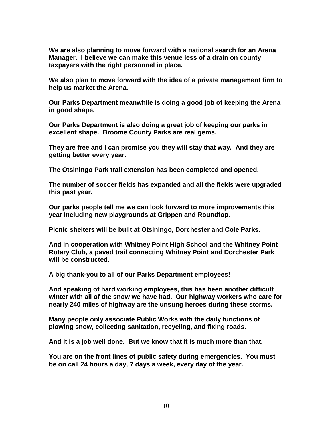**We are also planning to move forward with a national search for an Arena Manager. I believe we can make this venue less of a drain on county taxpayers with the right personnel in place.** 

**We also plan to move forward with the idea of a private management firm to help us market the Arena.** 

**Our Parks Department meanwhile is doing a good job of keeping the Arena in good shape.** 

**Our Parks Department is also doing a great job of keeping our parks in excellent shape. Broome County Parks are real gems.** 

**They are free and I can promise you they will stay that way. And they are getting better every year.** 

**The Otsiningo Park trail extension has been completed and opened.** 

**The number of soccer fields has expanded and all the fields were upgraded this past year.** 

**Our parks people tell me we can look forward to more improvements this year including new playgrounds at Grippen and Roundtop.** 

**Picnic shelters will be built at Otsiningo, Dorchester and Cole Parks.** 

**And in cooperation with Whitney Point High School and the Whitney Point Rotary Club, a paved trail connecting Whitney Point and Dorchester Park will be constructed.** 

**A big thank-you to all of our Parks Department employees!** 

**And speaking of hard working employees, this has been another difficult winter with all of the snow we have had. Our highway workers who care for nearly 240 miles of highway are the unsung heroes during these storms.** 

**Many people only associate Public Works with the daily functions of plowing snow, collecting sanitation, recycling, and fixing roads.** 

**And it is a job well done. But we know that it is much more than that.** 

**You are on the front lines of public safety during emergencies. You must be on call 24 hours a day, 7 days a week, every day of the year.**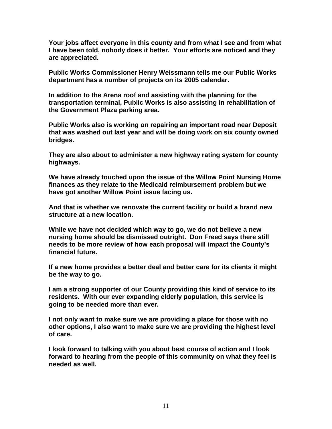**Your jobs affect everyone in this county and from what I see and from what I have been told, nobody does it better. Your efforts are noticed and they are appreciated.** 

**Public Works Commissioner Henry Weissmann tells me our Public Works department has a number of projects on its 2005 calendar.** 

**In addition to the Arena roof and assisting with the planning for the transportation terminal, Public Works is also assisting in rehabilitation of the Government Plaza parking area.** 

**Public Works also is working on repairing an important road near Deposit that was washed out last year and will be doing work on six county owned bridges.** 

**They are also about to administer a new highway rating system for county highways.** 

**We have already touched upon the issue of the Willow Point Nursing Home finances as they relate to the Medicaid reimbursement problem but we have got another Willow Point issue facing us.** 

**And that is whether we renovate the current facility or build a brand new structure at a new location.** 

**While we have not decided which way to go, we do not believe a new nursing home should be dismissed outright. Don Freed says there still needs to be more review of how each proposal will impact the County's financial future.** 

**If a new home provides a better deal and better care for its clients it might be the way to go.** 

**I am a strong supporter of our County providing this kind of service to its residents. With our ever expanding elderly population, this service is going to be needed more than ever.** 

**I not only want to make sure we are providing a place for those with no other options, I also want to make sure we are providing the highest level of care.** 

**I look forward to talking with you about best course of action and I look forward to hearing from the people of this community on what they feel is needed as well.**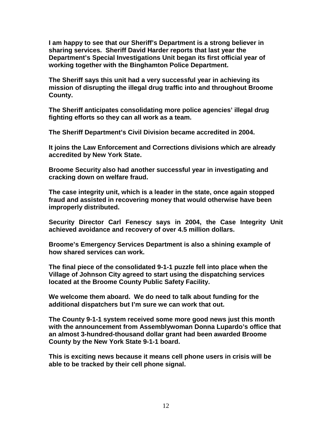**I am happy to see that our Sheriff's Department is a strong believer in sharing services. Sheriff David Harder reports that last year the Department's Special Investigations Unit began its first official year of working together with the Binghamton Police Department.** 

**The Sheriff says this unit had a very successful year in achieving its mission of disrupting the illegal drug traffic into and throughout Broome County.** 

**The Sheriff anticipates consolidating more police agencies' illegal drug fighting efforts so they can all work as a team.** 

**The Sheriff Department's Civil Division became accredited in 2004.** 

**It joins the Law Enforcement and Corrections divisions which are already accredited by New York State.** 

**Broome Security also had another successful year in investigating and cracking down on welfare fraud.** 

**The case integrity unit, which is a leader in the state, once again stopped fraud and assisted in recovering money that would otherwise have been improperly distributed.** 

**Security Director Carl Fenescy says in 2004, the Case Integrity Unit achieved avoidance and recovery of over 4.5 million dollars.** 

**Broome's Emergency Services Department is also a shining example of how shared services can work.** 

**The final piece of the consolidated 9-1-1 puzzle fell into place when the Village of Johnson City agreed to start using the dispatching services located at the Broome County Public Safety Facility.** 

**We welcome them aboard. We do need to talk about funding for the additional dispatchers but I'm sure we can work that out.** 

**The County 9-1-1 system received some more good news just this month with the announcement from Assemblywoman Donna Lupardo's office that an almost 3-hundred-thousand dollar grant had been awarded Broome County by the New York State 9-1-1 board.** 

**This is exciting news because it means cell phone users in crisis will be able to be tracked by their cell phone signal.**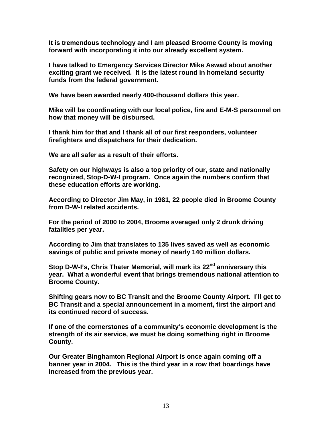**It is tremendous technology and I am pleased Broome County is moving forward with incorporating it into our already excellent system.** 

**I have talked to Emergency Services Director Mike Aswad about another exciting grant we received. It is the latest round in homeland security funds from the federal government.** 

**We have been awarded nearly 400-thousand dollars this year.** 

**Mike will be coordinating with our local police, fire and E-M-S personnel on how that money will be disbursed.** 

**I thank him for that and I thank all of our first responders, volunteer firefighters and dispatchers for their dedication.** 

**We are all safer as a result of their efforts.** 

**Safety on our highways is also a top priority of our, state and nationally recognized, Stop-D-W-I program. Once again the numbers confirm that these education efforts are working.** 

**According to Director Jim May, in 1981, 22 people died in Broome County from D-W-I related accidents.** 

**For the period of 2000 to 2004, Broome averaged only 2 drunk driving fatalities per year.** 

**According to Jim that translates to 135 lives saved as well as economic savings of public and private money of nearly 140 million dollars.** 

Stop D-W-I's, Chris Thater Memorial, will mark its 22<sup>nd</sup> anniversary this **year. What a wonderful event that brings tremendous national attention to Broome County.** 

**Shifting gears now to BC Transit and the Broome County Airport. I'll get to BC Transit and a special announcement in a moment, first the airport and its continued record of success.** 

**If one of the cornerstones of a community's economic development is the strength of its air service, we must be doing something right in Broome County.** 

**Our Greater Binghamton Regional Airport is once again coming off a banner year in 2004. This is the third year in a row that boardings have increased from the previous year.**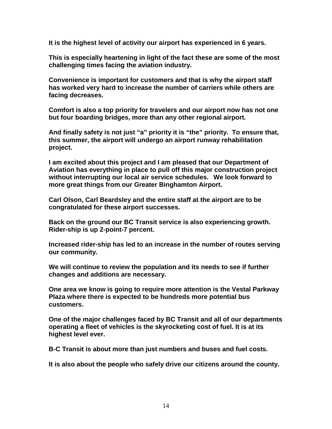**It is the highest level of activity our airport has experienced in 6 years.** 

**This is especially heartening in light of the fact these are some of the most challenging times facing the aviation industry.** 

**Convenience is important for customers and that is why the airport staff has worked very hard to increase the number of carriers while others are facing decreases.** 

**Comfort is also a top priority for travelers and our airport now has not one but four boarding bridges, more than any other regional airport.** 

**And finally safety is not just "a" priority it is "the" priority. To ensure that, this summer, the airport will undergo an airport runway rehabilitation project.** 

**I am excited about this project and I am pleased that our Department of Aviation has everything in place to pull off this major construction project without interrupting our local air service schedules. We look forward to more great things from our Greater Binghamton Airport.** 

**Carl Olson, Carl Beardsley and the entire staff at the airport are to be congratulated for these airport successes.**

**Back on the ground our BC Transit service is also experiencing growth. Rider-ship is up 2-point-7 percent.** 

**Increased rider-ship has led to an increase in the number of routes serving our community.** 

**We will continue to review the population and its needs to see if further changes and additions are necessary.** 

**One area we know is going to require more attention is the Vestal Parkway Plaza where there is expected to be hundreds more potential bus customers.** 

**One of the major challenges faced by BC Transit and all of our departments operating a fleet of vehicles is the skyrocketing cost of fuel. It is at its highest level ever.** 

**B-C Transit is about more than just numbers and buses and fuel costs.** 

**It is also about the people who safely drive our citizens around the county.**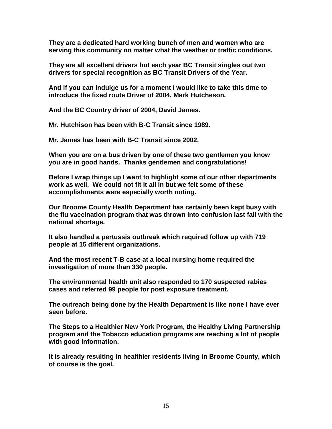**They are a dedicated hard working bunch of men and women who are serving this community no matter what the weather or traffic conditions.** 

**They are all excellent drivers but each year BC Transit singles out two drivers for special recognition as BC Transit Drivers of the Year.** 

**And if you can indulge us for a moment I would like to take this time to introduce the fixed route Driver of 2004, Mark Hutcheson.** 

**And the BC Country driver of 2004, David James.** 

**Mr. Hutchison has been with B-C Transit since 1989.** 

**Mr. James has been with B-C Transit since 2002.** 

**When you are on a bus driven by one of these two gentlemen you know you are in good hands. Thanks gentlemen and congratulations!** 

**Before I wrap things up I want to highlight some of our other departments work as well. We could not fit it all in but we felt some of these accomplishments were especially worth noting.** 

**Our Broome County Health Department has certainly been kept busy with the flu vaccination program that was thrown into confusion last fall with the national shortage.** 

**It also handled a pertussis outbreak which required follow up with 719 people at 15 different organizations.** 

**And the most recent T-B case at a local nursing home required the investigation of more than 330 people.** 

**The environmental health unit also responded to 170 suspected rabies cases and referred 99 people for post exposure treatment.** 

**The outreach being done by the Health Department is like none I have ever seen before.** 

**The Steps to a Healthier New York Program, the Healthy Living Partnership program and the Tobacco education programs are reaching a lot of people with good information.** 

**It is already resulting in healthier residents living in Broome County, which of course is the goal.**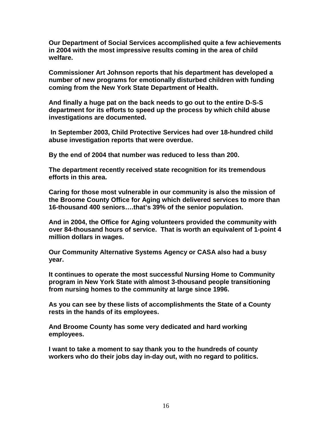**Our Department of Social Services accomplished quite a few achievements in 2004 with the most impressive results coming in the area of child welfare.** 

**Commissioner Art Johnson reports that his department has developed a number of new programs for emotionally disturbed children with funding coming from the New York State Department of Health.** 

**And finally a huge pat on the back needs to go out to the entire D-S-S department for its efforts to speed up the process by which child abuse investigations are documented.** 

 **In September 2003, Child Protective Services had over 18-hundred child abuse investigation reports that were overdue.** 

**By the end of 2004 that number was reduced to less than 200.** 

**The department recently received state recognition for its tremendous efforts in this area.** 

**Caring for those most vulnerable in our community is also the mission of the Broome County Office for Aging which delivered services to more than 16-thousand 400 seniors….that's 39% of the senior population.** 

**And in 2004, the Office for Aging volunteers provided the community with over 84-thousand hours of service. That is worth an equivalent of 1-point 4 million dollars in wages.** 

**Our Community Alternative Systems Agency or CASA also had a busy year.** 

**It continues to operate the most successful Nursing Home to Community program in New York State with almost 3-thousand people transitioning from nursing homes to the community at large since 1996.** 

**As you can see by these lists of accomplishments the State of a County rests in the hands of its employees.** 

**And Broome County has some very dedicated and hard working employees.** 

**I want to take a moment to say thank you to the hundreds of county workers who do their jobs day in-day out, with no regard to politics.**